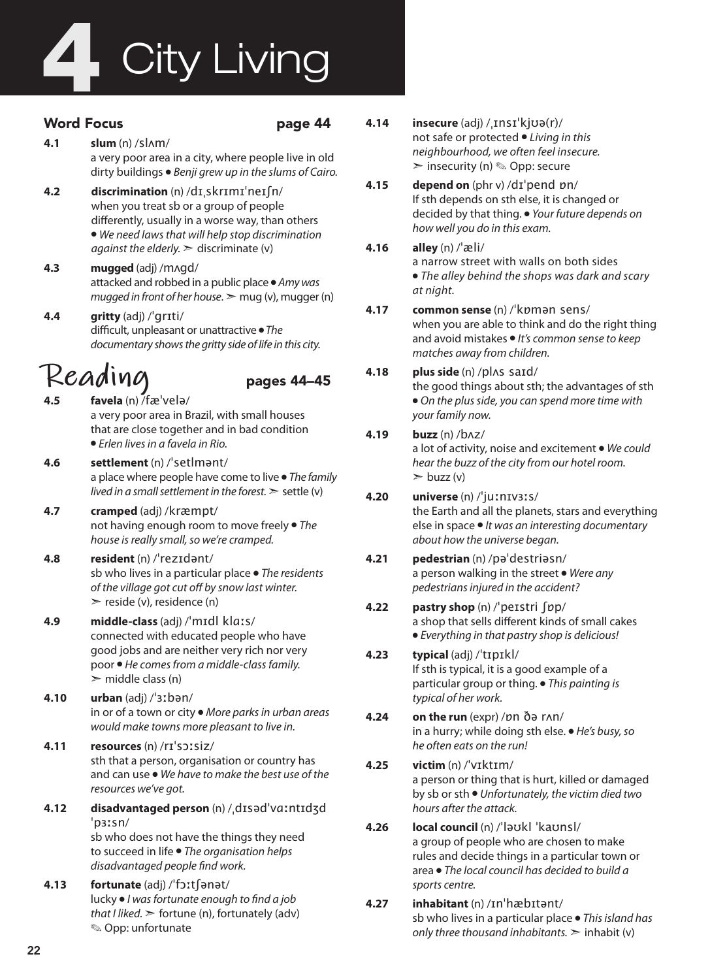# **City Living**

### Word Focus **page 44**

- **4.1 slum** (n) /slʌm/ a very poor area in a city, where people live in old dirty buildings ● *Benji grew up in the slums of Cairo.*
- **4.2 discrimination** (n) /dɪˌskrɪmɪˈneɪʃn/ when you treat sb or a group of people differently, usually in a worse way, than others ● *We need laws that will help stop discrimination against the elderly.*  $\geq$  discriminate (v)
- **4.3 mugged** (adj) /mʌɡd/ attacked and robbed in a public place ● *Amy was mugged in front of her house*.  $>$  mug (v), mugger (n)
- **4.4 gritty** (adj) /ˈɡrɪti/ difficult, unpleasant or unattractive ● *The documentary shows the gritty side of life in this city.*

# $\mathcal{R}e$ **ading**<br>4.5 favela (n)/fæ'velə/

- **4.5 favela** (n) /fæˈvelə/ a very poor area in Brazil, with small houses that are close together and in bad condition ● *Erlen lives in a favela in Rio.*
- **4.6 settlement** (n) /ˈsetlmənt/ a place where people have come to live ● *The family lived in a small settlement in the forest.* ➣ settle (v)
- **4.7 cramped** (adj) /kræmpt/ not having enough room to move freely ● *The house is really small, so we're cramped.*
- **4.8 resident** (n) /ˈrezɪdənt/ sb who lives in a particular place ● *The residents of the village got cut off by snow last winter.*  $\triangleright$  reside (v), residence (n)

#### **4.9 middle-class** (adj) /ˈmɪdl klɑːs/ connected with educated people who have good jobs and are neither very rich nor very poor ● *He comes from a middle-class family.*   $\triangleright$  middle class (n)

- **4.10 urban** (adj) /ˈɜːbən/ in or of a town or city ● *More parks in urban areas would make towns more pleasant to live in.*
- **4.11 resources** (n) /rɪˈsɔːsiz/ sth that a person, organisation or country has and can use ● *We have to make the best use of the resources we've got.*
- **4.12 disadvantaged person** (n) /ˌdɪsədˈvɑːntɪdʒd ˈpɜːsn/ sb who does not have the things they need to succeed in life ● *The organisation helps disadvantaged people find work.*
- **4.13 fortunate** (adj) /ˈfɔːtʃənət/ lucky ● *I was fortunate enough to find a job that I liked.* ➣ fortune (n), fortunately (adv) ✎ Opp: unfortunate
- **4.14 insecure** (adj) /ˌɪnsɪˈkjʊə(r)/ not safe or protected ● *Living in this neighbourhood, we often feel insecure.*   $\geq$  insecurity (n)  $\otimes$  Opp: secure
- **4.15 depend on** (phr v) /dɪˈpend ɒn/ If sth depends on sth else, it is changed or decided by that thing. ● *Your future depends on how well you do in this exam.*
- **4.16 alley** (n) /ˈæli/ a narrow street with walls on both sides ● *The alley behind the shops was dark and scary at night.*
- **4.17 common sense** (n) /ˈkɒmən sens/ when you are able to think and do the right thing and avoid mistakes ● *It's common sense to keep matches away from children.*

### **4.18 plus side** (n) /plʌs saɪd/ the good things about sth; the advantages of sth

● *On the plus side, you can spend more time with your family now.*

### **4.19 buzz** (n) /bʌz/

a lot of activity, noise and excitement ● *We could hear the buzz of the city from our hotel room.*  $\triangleright$  buzz (v)

### **4.20 universe** (n) /ˈjuːnɪvɜːs/

the Earth and all the planets, stars and everything else in space ● *It was an interesting documentary about how the universe began.*

### **4.21 pedestrian** (n) /pəˈdestriəsn/ a person walking in the street ● *Were any pedestrians injured in the accident?*

**4.22 pastry shop** (n) /ˈpeɪstri ʃɒp/ a shop that sells different kinds of small cakes ● *Everything in that pastry shop is delicious!*

### **4.23 typical** (adj) /ˈtɪpɪkl/ If sth is typical, it is a good example of a particular group or thing. ● *This painting is typical of her work.*

- **4.24 on the run** (expr) /ɒn ðə rʌn/ in a hurry; while doing sth else. ● *He's busy, so he often eats on the run!*
- **4.25 victim** (n) /ˈvɪktɪm/ a person or thing that is hurt, killed or damaged by sb or sth ● *Unfortunately, the victim died two hours after the attack.*
- **4.26 local council** (n) /ˈləʊkl ˈkaʊnsl/ a group of people who are chosen to make rules and decide things in a particular town or area ● *The local council has decided to build a sports centre.*
- **4.27 inhabitant** (n) /ɪnˈhæbɪtənt/ sb who lives in a particular place ● *This island has only three thousand inhabitants.* ➣ inhabit (v)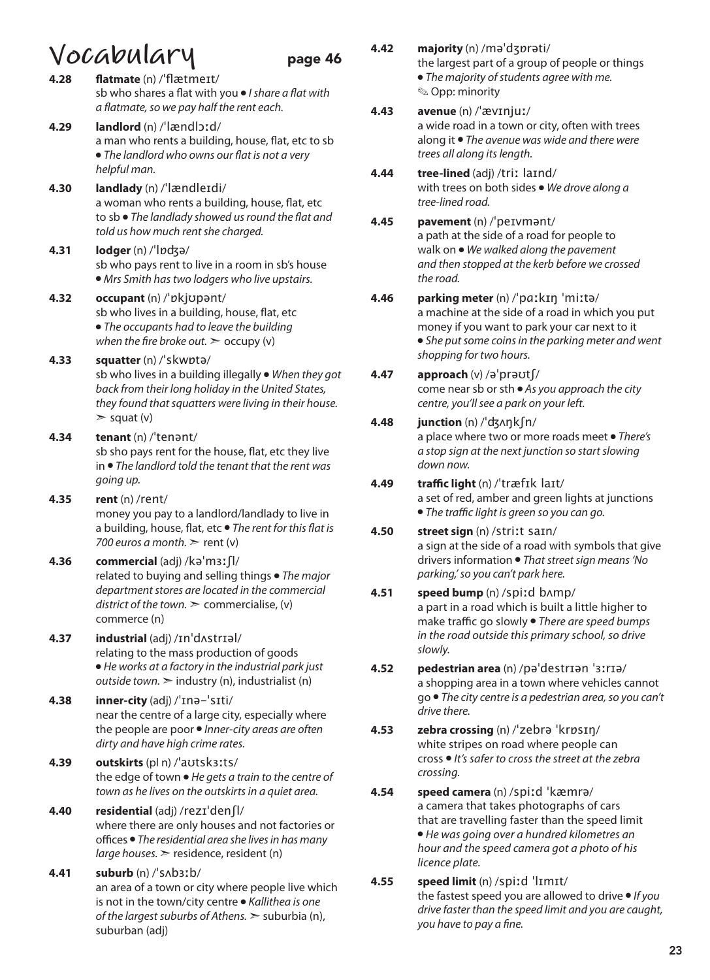- **VoCADULARY** page 46<br>4.28 flatmate (n) /'flætmeɪt/ **4.28 flatmate** (n) /ˈflætmeɪt/ sb who shares a flat with you ● *I share a flat with a flatmate, so we pay half the rent each.* **4.29 landlord** (n) /ˈlændlɔːd/ a man who rents a building, house, flat, etc to sb ● *The landlord who owns our flat is not a very helpful man.* **4.30 landlady** (n) /ˈlændleɪdi/ a woman who rents a building, house, flat, etc to sb ● *The landlady showed us round the flat and told us how much rent she charged.* **4.31 lodger** (n) /ˈlɒʤə/ sb who pays rent to live in a room in sb's house ● *Mrs Smith has two lodgers who live upstairs.* **4.32 occupant** (n) /ˈɒkjʊpənt/ sb who lives in a building, house, flat, etc ● *The occupants had to leave the building when the fire broke out.*  $>$  occupy (v) **4.33 squatter** (n) /ˈskwɒtə/ sb who lives in a building illegally ● *When they got back from their long holiday in the United States, they found that squatters were living in their house.*   $>$  squat (v) **4.34 tenant** (n) /ˈtenənt/ sb sho pays rent for the house, flat, etc they live in ● *The landlord told the tenant that the rent was going up.*  **4.35 rent** (n) /rent/ money you pay to a landlord/landlady to live in a building, house, flat, etc ● *The rent for this flat is 700 euros a month.* ➣ rent (v) **4.36 commercial** (adj) /kəˈmɜːʃl/ related to buying and selling things ● *The major department stores are located in the commercial district of the town.*  $\geq$  commercialise, (v) commerce (n) **4.37 industrial** (adj) /ɪnˈdʌstrɪəl/ relating to the mass production of goods ● *He works at a factory in the industrial park just outside town.* ➣ industry (n), industrialist (n) **4.38 inner-city** (adj) /ˈɪnə-ˈsɪti/ near the centre of a large city, especially where the people are poor ● *Inner-city areas are often dirty and have high crime rates.*  **4.39 outskirts** (pl n) /ˈaʊtskɜːts/ the edge of town ● *He gets a train to the centre of town as he lives on the outskirts in a quiet area.*  **4.40 residential** (adj) /rezɪˈdenʃl/ where there are only houses and not factories or offices ● *The residential area she lives in has many large houses.* ➣ residence, resident (n) **4.41 suburb** (n) /ˈsʌbɜːb/ an area of a town or city where people live which is not in the town/city centre ● *Kallithea is one of the largest suburbs of Athens.* ➣ suburbia (n), suburban (adj)
- **4.42 majority** (n) /məˈdʒɒrəti/ the largest part of a group of people or things ● *The majority of students agree with me.*  ✎ Opp: minority

### **4.43 avenue** (n) /ˈævɪnjuː/

a wide road in a town or city, often with trees along it ● *The avenue was wide and there were trees all along its length.*

- **4.44 tree-lined** (adj) /triː laɪnd/ with trees on both sides ● *We drove along a tree-lined road.*
- **4.45 pavement** (n) /ˈpeɪvmənt/ a path at the side of a road for people to walk on ● *We walked along the pavement and then stopped at the kerb before we crossed the road.*
- **4.46 parking meter** (n) /ˈpɑːkɪŋ ˈmiːtə/ a machine at the side of a road in which you put money if you want to park your car next to it ● *She put some coins in the parking meter and went shopping for two hours.*

#### **4.47 approach** (v) /əˈprəʊtʃ/ come near sb or sth ● *As you approach the city centre, you'll see a park on your left.*

- **4.48 junction** (n) /ˈʤʌŋkʃn/ a place where two or more roads meet ● *There's a stop sign at the next junction so start slowing down now.*
- **4.49 traffic light** (n) /ˈtræfɪk laɪt/ a set of red, amber and green lights at junctions ● *The traffic light is green so you can go.*
- **4.50 street sign** (n) /striːt saɪn/ a sign at the side of a road with symbols that give drivers information ● *That street sign means 'No parking,' so you can't park here.*

#### **4.51 speed bump** (n) /spiːd bʌmp/ a part in a road which is built a little higher to make traffic go slowly ● *There are speed bumps in the road outside this primary school, so drive slowly.*

- **4.52 pedestrian area** (n) /pəˈdestrɪən ˈɜːrɪə/ a shopping area in a town where vehicles cannot go ● *The city centre is a pedestrian area, so you can't drive there.*
- **4.53 zebra crossing** (n) /ˈzebrə ˈkrɒsɪŋ/ white stripes on road where people can cross ● *It's safer to cross the street at the zebra crossing.*
- **4.54 speed camera** (n) /spiːd ˈkæmrə/ a camera that takes photographs of cars that are travelling faster than the speed limit ● *He was going over a hundred kilometres an hour and the speed camera got a photo of his licence plate.*
- **4.55 speed limit** (n) /spiːd ˈlɪmɪt/ the fastest speed you are allowed to drive ● *If you drive faster than the speed limit and you are caught, you have to pay a fine.*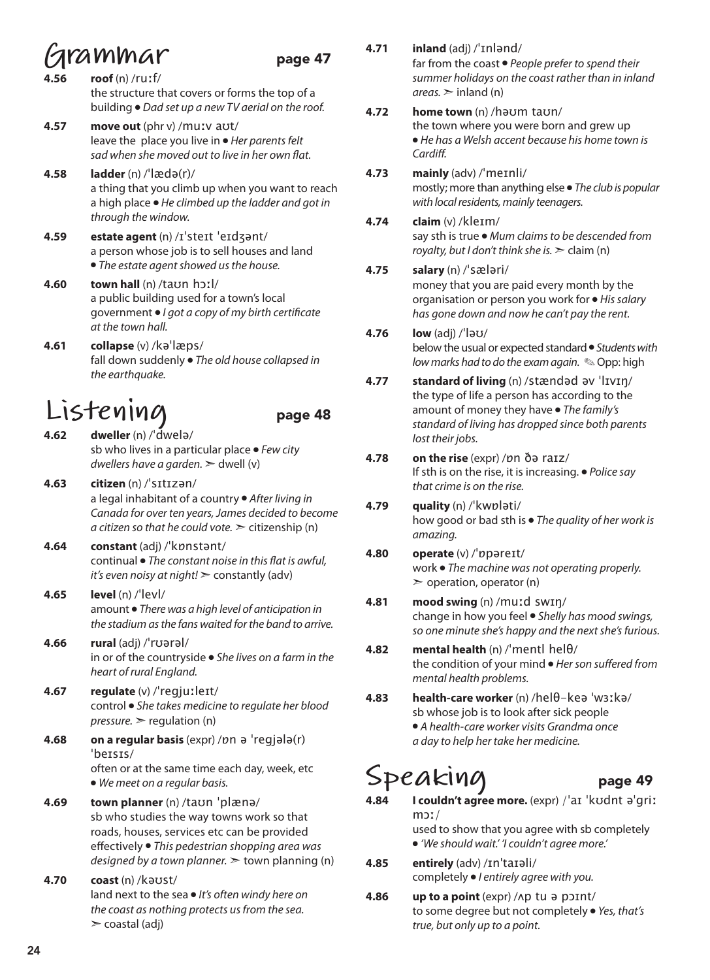### **Grammar** page 47

- **4.56 roof** (n) /ruːf/ the structure that covers or forms the top of a building ● *Dad set up a new TV aerial on the roof.*
- **4.57 move out** (phr v) /muːv aʊt/ leave the place you live in ● *Her parents felt sad when she moved out to live in her own flat.*
- **4.58 ladder** (n) /ˈlædə(r)/ a thing that you climb up when you want to reach a high place ● *He climbed up the ladder and got in through the window.*
- **4.59 estate agent** (n) /ɪˈsteɪt ˈeɪdʒənt/ a person whose job is to sell houses and land ● *The estate agent showed us the house.*
- **4.60 town hall** (n) /taʊn hɔːl/ a public building used for a town's local government ● *I got a copy of my birth certificate at the town hall.*
- **4.61 collapse** (v) /kəˈlæps/ fall down suddenly ● *The old house collapsed in the earthquake.*

### **Listening** page 48

- **4.62 dweller** (n) /ˈdwelə/ sb who lives in a particular place ● *Few city dwellers have a garden.* ➣ dwell (v)
- **4.63 citizen** (n) /ˈsɪtɪzən/ a legal inhabitant of a country ● *After living in Canada for over ten years, James decided to become a citizen so that he could vote.*  $\geq$  citizenship (n)
- **4.64 constant** (adj) /ˈkɒnstənt/ continual ● *The constant noise in this flat is awful, it's even noisy at night!* ➣ constantly (adv)
- **4.65 level** (n) /ˈlevl/ amount ● *There was a high level of anticipation in the stadium as the fans waited for the band to arrive.*
- **4.66 rural** (adj) /ˈrʊərəl/ in or of the countryside ● *She lives on a farm in the heart of rural England.*
- **4.67 regulate** (v) /ˈregjuːleɪt/ control ● *She takes medicine to regulate her blood pressure.* ➣ regulation (n)
- **4.68 on a regular basis** (expr) /ɒn ə ˈreɡjələ(r) ˈbeɪsɪs/ often or at the same time each day, week, etc ● *We meet on a regular basis.*
- **4.69 town planner** (n) /taʊn ˈplænə/ sb who studies the way towns work so that roads, houses, services etc can be provided effectively ● *This pedestrian shopping area was designed by a town planner.* ➣ town planning (n)
- **4.70 coast** (n) /kəʊst/ land next to the sea ● *It's often windy here on the coast as nothing protects us from the sea.*   $\geq$  coastal (adj)
- **4.71 inland** (adj) /ˈɪnlənd/ far from the coast ● *People prefer to spend their summer holidays on the coast rather than in inland*   $areas.$   $\ge$  inland (n)
- **4.72 home town** (n) /həʊm taʊn/ the town where you were born and grew up ● *He has a Welsh accent because his home town is Cardiff.*
- **4.73 mainly** (adv) /ˈmeɪnli/ mostly; more than anything else ● *The club is popular with local residents, mainly teenagers.*
- **4.74 claim** (v) /kleɪm/ say sth is true ● *Mum claims to be descended from royalty, but I don't think she is.* ➣ claim (n)

### **4.75 salary** (n) /ˈsæləri/

- money that you are paid every month by the organisation or person you work for ● *His salary has gone down and now he can't pay the rent.*
- **4.76 low** (adj) /ˈləʊ/ below the usual or expected standard ● *Students with low marks had to do the exam again.* ✎ Opp: high
- **4.77 standard of living** (n) /stændəd əv ˈlɪvɪŋ/ the type of life a person has according to the amount of money they have ● *The family's standard of living has dropped since both parents lost their jobs.*
- **4.78 on the rise** (expr) /ɒn ðə raɪz/ If sth is on the rise, it is increasing. ● *Police say that crime is on the rise.*
- **4.79 quality** (n) /ˈkwɒləti/ how good or bad sth is ● *The quality of her work is amazing.*
- **4.80 operate** (v) /ˈɒpəreɪt/ work ● *The machine was not operating properly.*   $\geq$  operation, operator (n)
- **4.81 mood swing** (n) /muːd swɪŋ/ change in how you feel ● *Shelly has mood swings, so one minute she's happy and the next she's furious.*
- **4.82 mental health** (n) /ˈmentl helθ/ the condition of your mind ● *Her son suffered from mental health problems.*
- **4.83 health-care worker** (n) /helθ-keə ˈwɜːkə/ sb whose job is to look after sick people ● *A health-care worker visits Grandma once a day to help her take her medicine.*

## Speaking page 49

- **4.84 I couldn't agree more.** (expr) /ˈaɪ ˈkʊdnt əˈɡriː mɔː/ used to show that you agree with sb completely ● *'We should wait.' 'I couldn't agree more.'*
- **4.85 entirely** (adv) /ɪnˈtaɪəli/ completely ● *I entirely agree with you.*
- **4.86 up to a point** (expr) /ʌp tu ə pɔɪnt/ to some degree but not completely ● *Yes, that's true, but only up to a point.*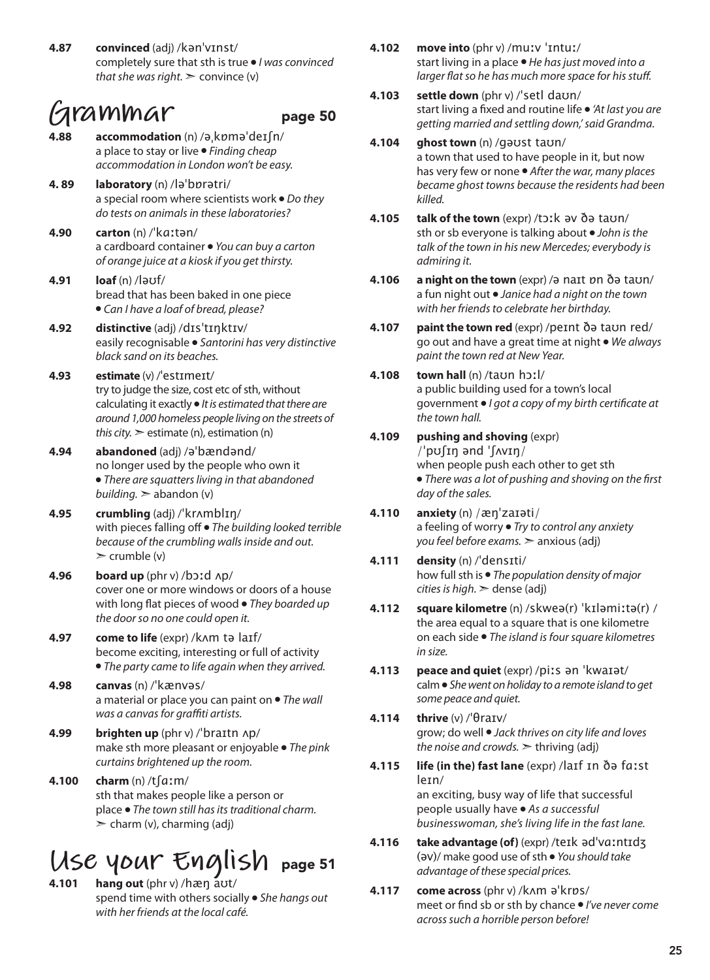**4.87 convinced** (adj) /kənˈvɪnst/ completely sure that sth is true ● *I was convinced that she was right.*  $\geq$  convince (v)

### **Grammar** page 50

- 
- **4.88 accommodation** (n) /əˌkɒməˈdeɪʃn/ a place to stay or live ● *Finding cheap accommodation in London won't be easy.*
- **4. 89 laboratory** (n) /ləˈbɒrətri/ a special room where scientists work ● *Do they do tests on animals in these laboratories?*
- **4.90 carton** (n) /ˈkɑːtən/ a cardboard container ● *You can buy a carton of orange juice at a kiosk if you get thirsty.*
- **4.91 loaf** (n) /ləʊf/ bread that has been baked in one piece ● *Can I have a loaf of bread, please?*
- **4.92 distinctive** (adj) /dɪsˈtɪŋktɪv/ easily recognisable ● *Santorini has very distinctive black sand on its beaches.*
- **4.93 estimate** (v) /ˈestɪmeɪt/ try to judge the size, cost etc of sth, without calculating it exactly ● *It is estimated that there are around 1,000 homeless people living on the streets of this city.*  $\ge$  estimate (n), estimation (n)
- **4.94 abandoned** (adj) /əˈbændənd/ no longer used by the people who own it ● *There are squatters living in that abandoned building.* ➣ abandon (v)
- **4.95 crumbling** (adj) /ˈkrʌmblɪŋ/ with pieces falling off ● *The building looked terrible because of the crumbling walls inside and out.*  $\triangleright$  crumble (v)
- **4.96 board up** (phr v) /bɔːd ʌp/ cover one or more windows or doors of a house with long flat pieces of wood ● *They boarded up the door so no one could open it.*
- **4.97 come to life** (expr) /kʌm tə laɪf/ become exciting, interesting or full of activity ● *The party came to life again when they arrived.*
- **4.98 canvas** (n) /ˈkænvəs/ a material or place you can paint on ● *The wall was a canvas for graffiti artists.*
- **4.99 brighten up** (phr v) /ˈbraɪtn ʌp/ make sth more pleasant or enjoyable ● *The pink curtains brightened up the room.*
- **4.100 charm** (n) /tʃɑːm/ sth that makes people like a person or place ● *The town still has its traditional charm.*   $\geq$  charm (v), charming (adj)

# USC YOUY ENGliSh page 51

**4.101 hang out** (phr v) /hæŋ aʊt/ spend time with others socially ● *She hangs out with her friends at the local café.*

- **4.102 move into** (phr v) /muːv ˈɪntuː/ start living in a place ● *He has just moved into a larger flat so he has much more space for his stuff.*
- **4.103 settle down** (phr v) /ˈsetl daʊn/ start living a fixed and routine life ● *'At last you are getting married and settling down,' said Grandma.*
- **4.104 ghost town** (n) /gəʊst taʊn/ a town that used to have people in it, but now has very few or none ● *After the war, many places became ghost towns because the residents had been killed.*
- **4.105 talk of the town** (expr) /tɔːk əv ðə taʊn/ sth or sb everyone is talking about ● *John is the talk of the town in his new Mercedes; everybody is admiring it.*
- **4.106 a night on the town** (expr) /ə naɪt ɒn ðə taʊn/ a fun night out ● *Janice had a night on the town with her friends to celebrate her birthday.*
- **4.107 paint the town red** (expr) /peɪnt ðə taʊn red/ go out and have a great time at night ● *We always paint the town red at New Year.*

### **4.108 town hall** (n) /taʊn hɔːl/ a public building used for a town's local government ● *I got a copy of my birth certificate at the town hall.*

- **4.109 pushing and shoving** (expr) /ˈpʊʃɪŋ ənd ˈʃʌvɪŋ/ when people push each other to get sth ● *There was a lot of pushing and shoving on the first day of the sales.*
- **4.110 anxiety** (n) /æŋˈzaɪəti/ a feeling of worry ● *Try to control any anxiety you feel before exams.* ➣ anxious (adj)
- **4.111 density** (n) /ˈdensɪti/ how full sth is ● *The population density of major cities is high.* ➣ dense (adj)
- **4.112 square kilometre** (n) /skweə(r) ˈkɪləmiːtə(r) / the area equal to a square that is one kilometre on each side ● *The island is four square kilometres in size.*
- **4.113 peace and quiet** (expr) /piːs ən ˈkwaɪət/ calm ● *She went on holiday to a remote island to get some peace and quiet.*
- **4.114 thrive** (v) /ˈθraɪv/ grow; do well ● *Jack thrives on city life and loves the noise and crowds.*  $\geq$  thriving (adj)
- **4.115 life (in the) fast lane** (expr) /laɪf ɪn ðə fɑːst leɪn/ an exciting, busy way of life that successful people usually have ● *As a successful businesswoman, she's living life in the fast lane.*
- **4.116 take advantage (of)** (expr) /teɪk ədˈvɑːntɪdʒ (əv)/ make good use of sth ● *You should take advantage of these special prices.*
- **4.117 come across** (phr v) /kʌm əˈkrɒs/ meet or find sb or sth by chance ● *I've never come across such a horrible person before!*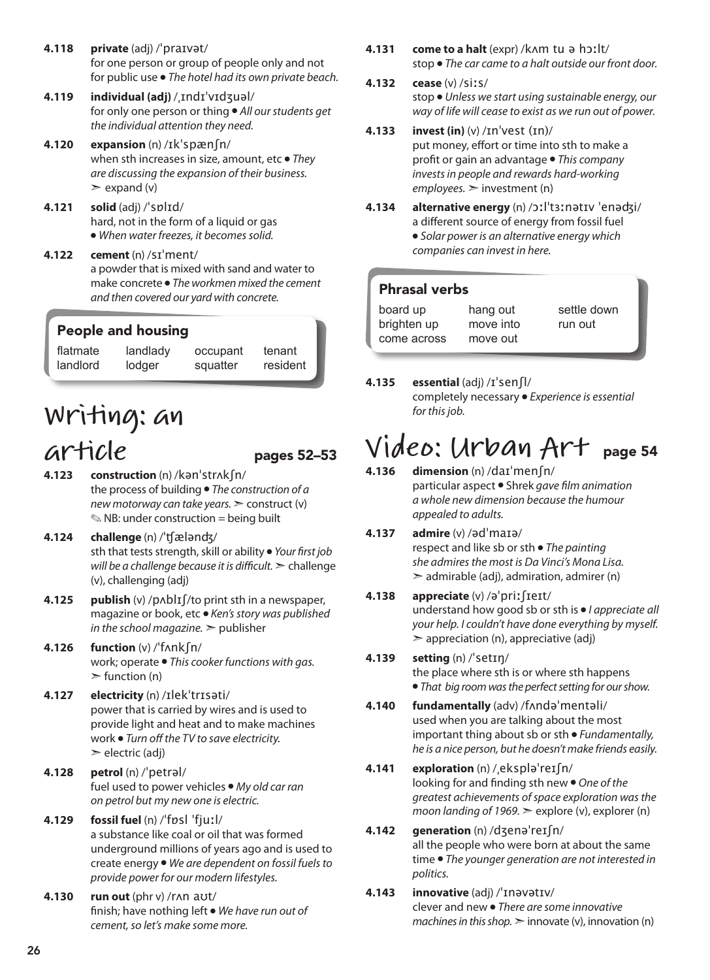- **4.118 private** (adj) /ˈpraɪvət/ for one person or group of people only and not for public use ● *The hotel had its own private beach.*
- **4.119 individual (adj)** /ˌɪndɪˈvɪdʒuəl/ for only one person or thing ● *All our students get the individual attention they need.*
- **4.120 expansion** (n) /ɪkˈspænʃn/ when sth increases in size, amount, etc ● *They are discussing the expansion of their business.*   $\geq$  expand (v)
- **4.121 solid** (adj) /ˈsɒlɪd/ hard, not in the form of a liquid or gas ● *When water freezes, it becomes solid.*
- **4.122 cement** (n) /sɪˈment/ a powder that is mixed with sand and water to make concrete ● *The workmen mixed the cement and then covered our yard with concrete.*

### People and housing

flatmate landlord landlady lodger occupant squatter

tenant resident

# **Writing: an**

- $\alpha$ rticle pages 52–53 **4.123 construction** (n) /kənˈstrʌkʃn/ the process of building ● *The construction of a new motorway can take years.* ➣ construct (v)  $\mathcal{L}$  NB: under construction = being built
- **4.124 challenge** (n) /ˈʧælənʤ/ sth that tests strength, skill or ability ● *Your first job will be a challenge because it is difficult.* ➣ challenge (v), challenging (adj)
- **4.125 publish** (v) /pʌblɪʃ/to print sth in a newspaper, magazine or book, etc ● *Ken's story was published in the school magazine.* ➣ publisher
- **4.126 function** (v) /ˈfʌnkʃn/ work; operate ● *This cooker functions with gas.*   $\triangleright$  function (n)
- **4.127 electricity** (n) /ɪlekˈtrɪsəti/ power that is carried by wires and is used to provide light and heat and to make machines work ● *Turn off the TV to save electricity.*   $\geq$  electric (adj)
- **4.128 petrol** (n) /ˈpetrəl/ fuel used to power vehicles ● *My old car ran on petrol but my new one is electric.*
- **4.129 fossil fuel** (n) /ˈfɒsl ˈfjuːl/ a substance like coal or oil that was formed underground millions of years ago and is used to create energy ● *We are dependent on fossil fuels to provide power for our modern lifestyles.*
- **4.130 run out** (phr v) /rʌn aʊt/ finish; have nothing left ● *We have run out of cement, so let's make some more.*
- **4.131 come to a halt** (expr) /kʌm tu ə hɔːlt/ stop ● *The car came to a halt outside our front door.*
- **4.132 cease** (v) /siːs/ stop ● *Unless we start using sustainable energy, our way of life will cease to exist as we run out of power.*
- **4.133 invest (in)** (v) /ɪnˈvest (ɪn)/ put money, effort or time into sth to make a profit or gain an advantage ● *This company invests in people and rewards hard-working employees.* ➣ investment (n)
- **4.134 alternative energy** (n) /ɔːlˈtɜːnətɪv ˈenəʤi/ a different source of energy from fossil fuel ● *Solar power is an alternative energy which companies can invest in here.*

### Phrasal verbs

| board up    | hang out  | settle down |
|-------------|-----------|-------------|
| brighten up | move into | run out     |
| come across | move out  |             |

### **4.135 essential** (adj) /ɪˈsenʃl/

completely necessary ● *Experience is essential for this job.* 

### **Video: Urban Art** page 54

- **4.136 dimension** (n) /daɪˈmenʃn/ particular aspect ● Shrek *gave film animation a whole new dimension because the humour appealed to adults.*
- **4.137 admire** (v) /ədˈmaɪə/ respect and like sb or sth ● *The painting she admires the most is Da Vinci's Mona Lisa.*  $\geq$  admirable (adj), admiration, admirer (n)

#### **4.138 appreciate** (v) /əˈpriːʃɪeɪt/ understand how good sb or sth is ● *I appreciate all your help. I couldn't have done everything by myself.*  $\geq$  appreciation (n), appreciative (adj)

### **4.139 setting** (n) /ˈsetɪŋ/ the place where sth is or where sth happens ● *That big room was the perfect setting for our show.*

- **4.140 fundamentally** (adv) /fʌndəˈmentəli/ used when you are talking about the most important thing about sb or sth ● *Fundamentally, he is a nice person, but he doesn't make friends easily.*
- **4.141 exploration** (n) /ˌekspləˈreɪʃn/ looking for and finding sth new ● *One of the greatest achievements of space exploration was the moon landing of 1969.* ► explore (v), explorer (n)

### **4.142 generation** (n) /dʒenəˈreɪʃn/ all the people who were born at about the same time ● *The younger generation are not interested in politics.*

**4.143 innovative** (adj) /ˈɪnəvətɪv/ clever and new ● *There are some innovative machines in this shop.*  $\geq$  innovate (v), innovation (n)